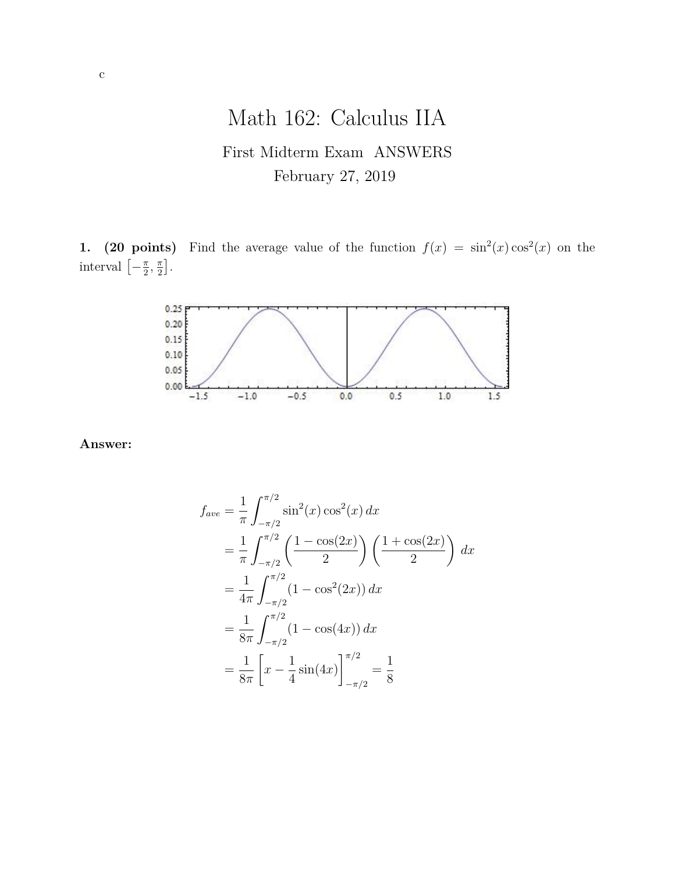# Math 162: Calculus IIA First Midterm Exam ANSWERS February 27, 2019

**1.** (20 points) Find the average value of the function  $f(x) = \sin^2(x) \cos^2(x)$  on the interval  $\left[-\frac{\pi}{2}\right]$  $\frac{\pi}{2}$ ,  $\frac{\pi}{2}$  $\frac{\pi}{2}$ .



**Answer:**

$$
f_{ave} = \frac{1}{\pi} \int_{-\pi/2}^{\pi/2} \sin^2(x) \cos^2(x) dx
$$
  
=  $\frac{1}{\pi} \int_{-\pi/2}^{\pi/2} \left( \frac{1 - \cos(2x)}{2} \right) \left( \frac{1 + \cos(2x)}{2} \right) dx$   
=  $\frac{1}{4\pi} \int_{-\pi/2}^{\pi/2} (1 - \cos^2(2x)) dx$   
=  $\frac{1}{8\pi} \int_{-\pi/2}^{\pi/2} (1 - \cos(4x)) dx$   
=  $\frac{1}{8\pi} \left[ x - \frac{1}{4} \sin(4x) \right]_{-\pi/2}^{\pi/2} = \frac{1}{8}$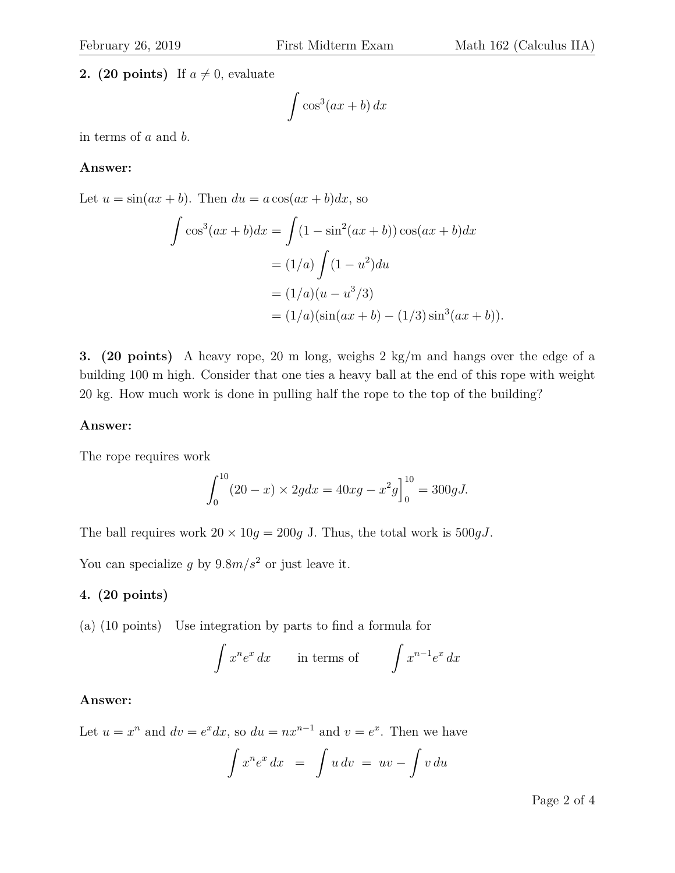# **2. (20 points)** If  $a \neq 0$ , evaluate

$$
\int \cos^3(ax+b)\,dx
$$

in terms of a and b.

#### **Answer:**

Let  $u = \sin(ax + b)$ . Then  $du = a\cos(ax + b)dx$ , so

$$
\int \cos^3(ax+b)dx = \int (1-\sin^2(ax+b))\cos(ax+b)dx
$$
  
=  $(1/a)\int (1-u^2)du$   
=  $(1/a)(u-u^3/3)$   
=  $(1/a)(\sin(ax+b)-(1/3)\sin^3(ax+b)).$ 

**3. (20 points)** A heavy rope, 20 m long, weighs 2 kg/m and hangs over the edge of a building 100 m high. Consider that one ties a heavy ball at the end of this rope with weight 20 kg. How much work is done in pulling half the rope to the top of the building?

## **Answer:**

The rope requires work

$$
\int_0^{10} (20 - x) \times 2g dx = 40xg - x^2g\Big]_0^{10} = 300gJ.
$$

The ball requires work  $20 \times 10g = 200g$  J. Thus, the total work is  $500gJ$ .

You can specialize g by  $9.8m/s^2$  or just leave it.

## **4. (20 points)**

(a) (10 points) Use integration by parts to find a formula for

$$
\int x^n e^x dx \qquad \text{in terms of} \qquad \int x^{n-1} e^x dx
$$

### **Answer:**

Let  $u = x^n$  and  $dv = e^x dx$ , so  $du = nx^{n-1}$  and  $v = e^x$ . Then we have

$$
\int x^n e^x dx = \int u dv = uv - \int v du
$$

Page 2 of 4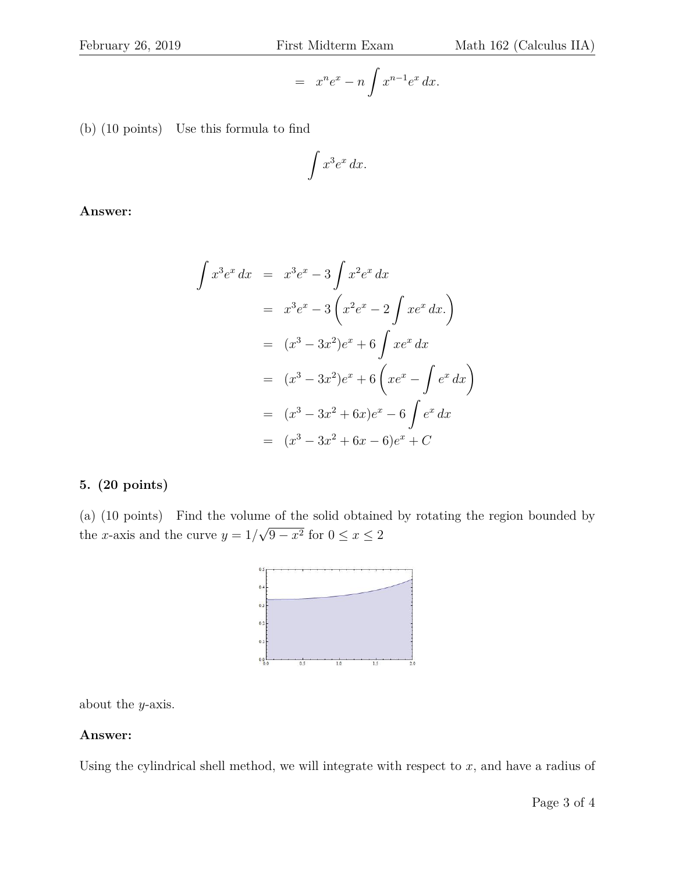$$
= x^n e^x - n \int x^{n-1} e^x dx.
$$

(b) (10 points) Use this formula to find

$$
\int x^3 e^x \, dx.
$$

**Answer:**

$$
\int x^3 e^x dx = x^3 e^x - 3 \int x^2 e^x dx
$$
  
=  $x^3 e^x - 3 (x^2 e^x - 2 \int x e^x dx)$   
=  $(x^3 - 3x^2) e^x + 6 \int x e^x dx$   
=  $(x^3 - 3x^2) e^x + 6 (x e^x - \int e^x dx)$   
=  $(x^3 - 3x^2 + 6x) e^x - 6 \int e^x dx$   
=  $(x^3 - 3x^2 + 6x - 6) e^x + C$ 

# **5. (20 points)**

(a) (10 points) Find the volume of the solid obtained by rotating the region bounded by the x-axis and the curve  $y = 1/$ √  $9 - x^2$  for  $0 \le x \le 2$ 



about the y-axis.

# **Answer:**

Using the cylindrical shell method, we will integrate with respect to  $x$ , and have a radius of